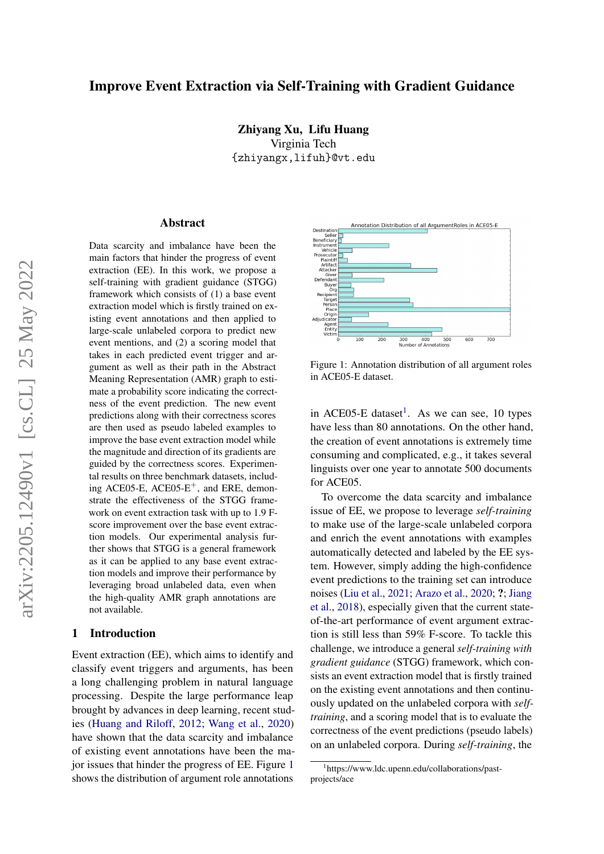# Improve Event Extraction via Self-Training with Gradient Guidance

Zhiyang Xu, Lifu Huang Virginia Tech {zhiyangx,lifuh}@vt.edu

#### Abstract

Data scarcity and imbalance have been the main factors that hinder the progress of event extraction (EE). In this work, we propose a self-training with gradient guidance (STGG) framework which consists of (1) a base event extraction model which is firstly trained on existing event annotations and then applied to large-scale unlabeled corpora to predict new event mentions, and (2) a scoring model that takes in each predicted event trigger and argument as well as their path in the Abstract Meaning Representation (AMR) graph to estimate a probability score indicating the correctness of the event prediction. The new event predictions along with their correctness scores are then used as pseudo labeled examples to improve the base event extraction model while the magnitude and direction of its gradients are guided by the correctness scores. Experimental results on three benchmark datasets, including ACE05-E, ACE05- $E^+$ , and ERE, demonstrate the effectiveness of the STGG framework on event extraction task with up to 1.9 Fscore improvement over the base event extraction models. Our experimental analysis further shows that STGG is a general framework as it can be applied to any base event extraction models and improve their performance by leveraging broad unlabeled data, even when the high-quality AMR graph annotations are not available.

### 1 Introduction

Event extraction (EE), which aims to identify and classify event triggers and arguments, has been a long challenging problem in natural language processing. Despite the large performance leap brought by advances in deep learning, recent studies [\(Huang and Riloff,](#page-9-0) [2012;](#page-9-0) [Wang et al.,](#page-11-0) [2020\)](#page-11-0) have shown that the data scarcity and imbalance of existing event annotations have been the major issues that hinder the progress of EE. Figure [1](#page-0-0) shows the distribution of argument role annotations

<span id="page-0-0"></span>

Figure 1: Annotation distribution of all argument roles in ACE05-E dataset.

in ACE05-E dataset<sup>[1](#page-0-1)</sup>. As we can see, 10 types have less than 80 annotations. On the other hand, the creation of event annotations is extremely time consuming and complicated, e.g., it takes several linguists over one year to annotate 500 documents for ACE05.

To overcome the data scarcity and imbalance issue of EE, we propose to leverage *self-training* to make use of the large-scale unlabeled corpora and enrich the event annotations with examples automatically detected and labeled by the EE system. However, simply adding the high-confidence event predictions to the training set can introduce noises [\(Liu et al.,](#page-10-0) [2021;](#page-10-0) [Arazo et al.,](#page-8-0) [2020;](#page-8-0) ?; [Jiang](#page-9-1) [et al.,](#page-9-1) [2018\)](#page-9-1), especially given that the current stateof-the-art performance of event argument extraction is still less than 59% F-score. To tackle this challenge, we introduce a general *self-training with gradient guidance* (STGG) framework, which consists an event extraction model that is firstly trained on the existing event annotations and then continuously updated on the unlabeled corpora with *selftraining*, and a scoring model that is to evaluate the correctness of the event predictions (pseudo labels) on an unlabeled corpora. During *self-training*, the

<span id="page-0-1"></span><sup>1</sup> https://www.ldc.upenn.edu/collaborations/pastprojects/ace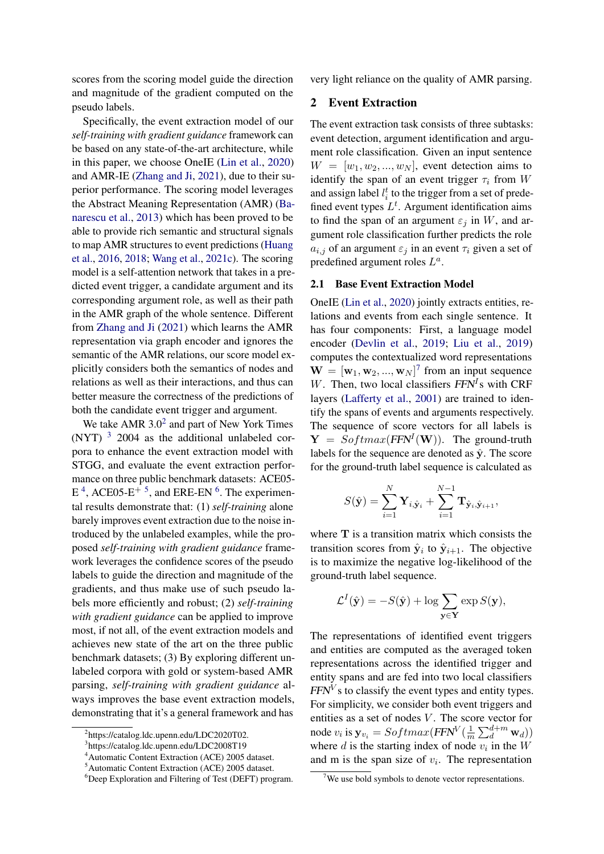scores from the scoring model guide the direction and magnitude of the gradient computed on the pseudo labels.

Specifically, the event extraction model of our *self-training with gradient guidance* framework can be based on any state-of-the-art architecture, while in this paper, we choose OneIE [\(Lin et al.,](#page-10-1) [2020\)](#page-10-1) and AMR-IE [\(Zhang and Ji,](#page-11-1) [2021\)](#page-11-1), due to their superior performance. The scoring model leverages the Abstract Meaning Representation (AMR) [\(Ba](#page-8-1)[narescu et al.,](#page-8-1) [2013\)](#page-8-1) which has been proved to be able to provide rich semantic and structural signals to map AMR structures to event predictions [\(Huang](#page-9-2) [et al.,](#page-9-2) [2016,](#page-9-2) [2018;](#page-9-3) [Wang et al.,](#page-11-2) [2021c\)](#page-11-2). The scoring model is a self-attention network that takes in a predicted event trigger, a candidate argument and its corresponding argument role, as well as their path in the AMR graph of the whole sentence. Different from [Zhang and Ji](#page-11-1) [\(2021\)](#page-11-1) which learns the AMR representation via graph encoder and ignores the semantic of the AMR relations, our score model explicitly considers both the semantics of nodes and relations as well as their interactions, and thus can better measure the correctness of the predictions of both the candidate event trigger and argument.

We take AMR  $3.0<sup>2</sup>$  $3.0<sup>2</sup>$  $3.0<sup>2</sup>$  and part of New York Times (NYT) [3](#page-1-1) 2004 as the additional unlabeled corpora to enhance the event extraction model with STGG, and evaluate the event extraction performance on three public benchmark datasets: ACE05-  $E<sup>4</sup>$  $E<sup>4</sup>$  $E<sup>4</sup>$ , ACE0[5](#page-1-3)- $E<sup>+</sup>$ <sup>5</sup>, and ERE-EN<sup>[6](#page-1-4)</sup>. The experimental results demonstrate that: (1) *self-training* alone barely improves event extraction due to the noise introduced by the unlabeled examples, while the proposed *self-training with gradient guidance* framework leverages the confidence scores of the pseudo labels to guide the direction and magnitude of the gradients, and thus make use of such pseudo labels more efficiently and robust; (2) *self-training with gradient guidance* can be applied to improve most, if not all, of the event extraction models and achieves new state of the art on the three public benchmark datasets; (3) By exploring different unlabeled corpora with gold or system-based AMR parsing, *self-training with gradient guidance* always improves the base event extraction models, demonstrating that it's a general framework and has

<span id="page-1-1"></span>3 https://catalog.ldc.upenn.edu/LDC2008T19

very light reliance on the quality of AMR parsing.

## 2 Event Extraction

The event extraction task consists of three subtasks: event detection, argument identification and argument role classification. Given an input sentence  $W = [w_1, w_2, ..., w_N]$ , event detection aims to identify the span of an event trigger  $\tau_i$  from W and assign label  $l_i^t$  to the trigger from a set of predefined event types  $L^t$ . Argument identification aims to find the span of an argument  $\varepsilon_i$  in W, and argument role classification further predicts the role  $a_{i,j}$  of an argument  $\varepsilon_j$  in an event  $\tau_i$  given a set of predefined argument roles  $L^a$ .

### 2.1 Base Event Extraction Model

OneIE [\(Lin et al.,](#page-10-1) [2020\)](#page-10-1) jointly extracts entities, relations and events from each single sentence. It has four components: First, a language model encoder [\(Devlin et al.,](#page-8-2) [2019;](#page-8-2) [Liu et al.,](#page-10-2) [2019\)](#page-10-2) computes the contextualized word representations  $\mathbf{W} = [\mathbf{w}_1, \mathbf{w}_2, ..., \mathbf{w}_N]^T$  from an input sequence W. Then, two local classifiers  $FFN<sup>I</sup>$ s with CRF layers [\(Lafferty et al.,](#page-9-4) [2001\)](#page-9-4) are trained to identify the spans of events and arguments respectively. The sequence of score vectors for all labels is  $Y = Softmax(FFN^{I}(W))$ . The ground-truth labels for the sequence are denoted as  $\hat{y}$ . The score for the ground-truth label sequence is calculated as

$$
S(\hat{\mathbf{y}}) = \sum_{i=1}^{N} \mathbf{Y}_{i, \hat{\mathbf{y}}_i} + \sum_{i=1}^{N-1} \mathbf{T}_{\hat{\mathbf{y}}_i, \hat{\mathbf{y}}_{i+1}},
$$

where  $T$  is a transition matrix which consists the transition scores from  $\hat{\mathbf{y}}_i$  to  $\hat{\mathbf{y}}_{i+1}$ . The objective is to maximize the negative log-likelihood of the ground-truth label sequence.

$$
\mathcal{L}^{I}(\hat{\mathbf{y}}) = -S(\hat{\mathbf{y}}) + \log \sum_{\mathbf{y} \in \mathbf{Y}} \exp S(\mathbf{y}),
$$

The representations of identified event triggers and entities are computed as the averaged token representations across the identified trigger and entity spans and are fed into two local classifiers  $FFN<sup>V</sup>$ s to classify the event types and entity types. For simplicity, we consider both event triggers and entities as a set of nodes  $V$ . The score vector for node  $v_i$  is  $\mathbf{y}_{v_i} = Softmax(FFN^V(\frac{1}{n}))$  $\frac{1}{m}\sum_{d}^{d+m}\mathbf{w}_{d})\big)$ where  $d$  is the starting index of node  $v_i$  in the  $W$ and m is the span size of  $v_i$ . The representation

<span id="page-1-0"></span><sup>2</sup> https://catalog.ldc.upenn.edu/LDC2020T02.

<span id="page-1-2"></span><sup>4</sup>Automatic Content Extraction (ACE) 2005 dataset.

<span id="page-1-3"></span><sup>5</sup>Automatic Content Extraction (ACE) 2005 dataset.

<span id="page-1-4"></span><sup>6</sup>Deep Exploration and Filtering of Test (DEFT) program.

<span id="page-1-5"></span><sup>&</sup>lt;sup>7</sup>We use bold symbols to denote vector representations.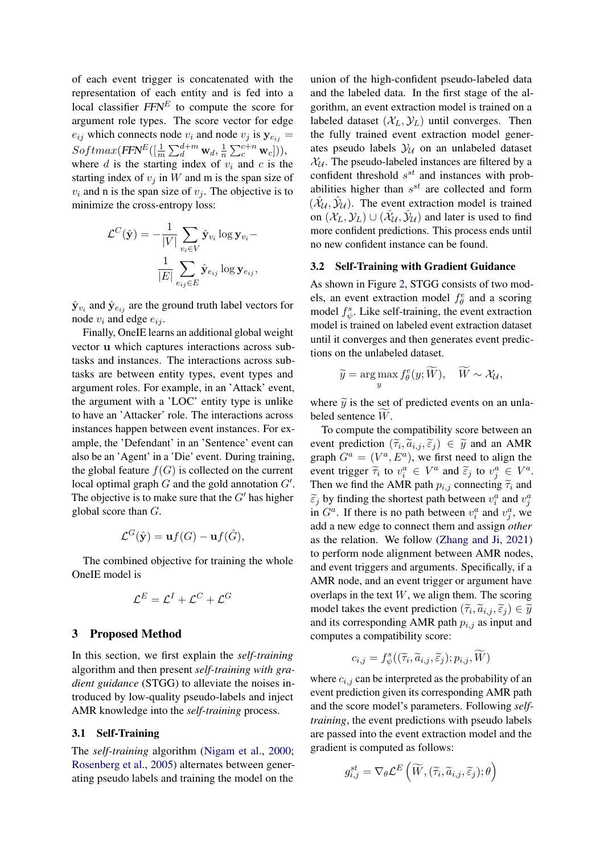of each event trigger is concatenated with the representation of each entity and is fed into a local classifier  $FFN^E$  to compute the score for argument role types. The score vector for edge  $e_{ij}$  which connects node  $v_i$  and node  $v_j$  is  $y_{e_{ij}} =$  $Softmax(FFN^E([\frac{1}{m}\sum_{d}^{d+m}\mathbf{w}_d, \frac{1}{n}$  $\frac{1}{n} \sum_{c}^{c+n} \mathbf{w}_c$ ])), where d is the starting index of  $v_i$  and c is the starting index of  $v_i$  in W and m is the span size of  $v_i$  and n is the span size of  $v_j$ . The objective is to minimize the cross-entropy loss:

$$
\mathcal{L}^C(\hat{\mathbf{y}}) = -\frac{1}{|V|} \sum_{v_i \in V} \hat{\mathbf{y}}_{v_i} \log \mathbf{y}_{v_i} - \frac{1}{|E|} \sum_{e_{ij} \in E} \hat{\mathbf{y}}_{e_{ij}} \log \mathbf{y}_{e_{ij}},
$$

 $\hat{\mathbf{y}}_{v_i}$  and  $\hat{\mathbf{y}}_{e_{ij}}$  are the ground truth label vectors for node  $v_i$  and edge  $e_{ij}$ .

Finally, OneIE learns an additional global weight vector u which captures interactions across subtasks and instances. The interactions across subtasks are between entity types, event types and argument roles. For example, in an 'Attack' event, the argument with a 'LOC' entity type is unlike to have an 'Attacker' role. The interactions across instances happen between event instances. For example, the 'Defendant' in an 'Sentence' event can also be an 'Agent' in a 'Die' event. During training, the global feature  $f(G)$  is collected on the current local optimal graph  $G$  and the gold annotation  $G'$ . The objective is to make sure that the  $G'$  has higher global score than G.

$$
\mathcal{L}^G(\hat{\mathbf{y}}) = \mathbf{u}f(G) - \mathbf{u}f(\hat{G}),
$$

The combined objective for training the whole OneIE model is

$$
\mathcal{L}^E = \mathcal{L}^I + \mathcal{L}^C + \mathcal{L}^G
$$

### 3 Proposed Method

In this section, we first explain the *self-training* algorithm and then present *self-training with gradient guidance* (STGG) to alleviate the noises introduced by low-quality pseudo-labels and inject AMR knowledge into the *self-training* process.

### 3.1 Self-Training

The *self-training* algorithm [\(Nigam et al.,](#page-10-3) [2000;](#page-10-3) [Rosenberg et al.,](#page-10-4) [2005\)](#page-10-4) alternates between generating pseudo labels and training the model on the

union of the high-confident pseudo-labeled data and the labeled data. In the first stage of the algorithm, an event extraction model is trained on a labeled dataset  $(\mathcal{X}_L, \mathcal{Y}_L)$  until converges. Then the fully trained event extraction model generates pseudo labels  $\mathcal{Y}_U$  on an unlabeled dataset  $X_U$ . The pseudo-labeled instances are filtered by a confident threshold  $s^{st}$  and instances with probabilities higher than  $s^{st}$  are collected and form  $(\hat{\mathcal{X}}_{\mathcal{U}}, \hat{\mathcal{Y}}_{\mathcal{U}})$ . The event extraction model is trained on  $(\mathcal{X}_L, \mathcal{Y}_L) \cup (\hat{\mathcal{X}}_{\mathcal{U}}, \hat{\mathcal{Y}}_{\mathcal{U}})$  and later is used to find more confident predictions. This process ends until no new confident instance can be found.

#### 3.2 Self-Training with Gradient Guidance

As shown in Figure [2,](#page-3-0) STGG consists of two models, an event extraction model  $f^e_\theta$  and a scoring model  $f^s_{\psi}$ . Like self-training, the event extraction model is trained on labeled event extraction dataset until it converges and then generates event predictions on the unlabeled dataset.

$$
\widetilde{y} = \argmax_{y} f_{\theta}^{e}(y; \widetilde{W}), \quad \widetilde{W} \sim \mathcal{X}_{\mathcal{U}},
$$

where  $\tilde{y}$  is the set of predicted events on an unlabeled sentence  $\widetilde{W}$ .

To compute the compatibility score between an event prediction  $(\widetilde{\tau}_i, \widetilde{a}_{i,j}, \widetilde{\epsilon}_j) \in \widetilde{y}$  and an AMR<br>graph  $C^a = (V^a \quad F^a)$ , we first pood to align the graph  $G^a = (V^a, E^a)$ , we first need to align the event trigger  $\tilde{\tau}_i$  to  $v_i^a \in V^a$  and  $\tilde{\epsilon}_j$  to  $v_j^a \in V^a$ .<br>Then we find the AMB noth as connecting  $\tilde{\epsilon}$  and Then we find the AMR path  $p_{i,j}$  connecting  $\tilde{\tau}_i$  and  $\tilde{\epsilon}_j$  by finding the shortest path between  $v_i^a$  and  $v_j^a$ <br>in  $C^a$ . If there is no noth between  $v_i^a$  and  $v_j^a$ , we in  $G^a$ . If there is no path between  $v_i^a$  and  $v_j^a$ , we add a new edge to connect them and assign *other* as the relation. We follow [\(Zhang and Ji,](#page-11-1) [2021\)](#page-11-1) to perform node alignment between AMR nodes, and event triggers and arguments. Specifically, if a AMR node, and an event trigger or argument have overlaps in the text  $W$ , we align them. The scoring model takes the event prediction  $(\tilde{\tau}_i, \tilde{a}_{i,j}, \tilde{\epsilon}_j) \in \tilde{y}$ <br>and its corresponding AMP path  $r_i$ , as input and and its corresponding AMR path  $p_{i,j}$  as input and computes a compatibility score:

$$
c_{i,j} = f_{\psi}^s((\widetilde{\tau}_i, \widetilde{a}_{i,j}, \widetilde{\varepsilon}_j); p_{i,j}, \widetilde{W})
$$

where  $c_{i,j}$  can be interpreted as the probability of an event prediction given its corresponding AMR path and the score model's parameters. Following *selftraining*, the event predictions with pseudo labels are passed into the event extraction model and the gradient is computed as follows:

$$
g_{i,j}^{st} = \nabla_{\theta} \mathcal{L}^{E}\left(\widetilde{W}, (\widetilde{\tau}_{i}, \widetilde{a}_{i,j}, \widetilde{\varepsilon}_{j}); \theta\right)
$$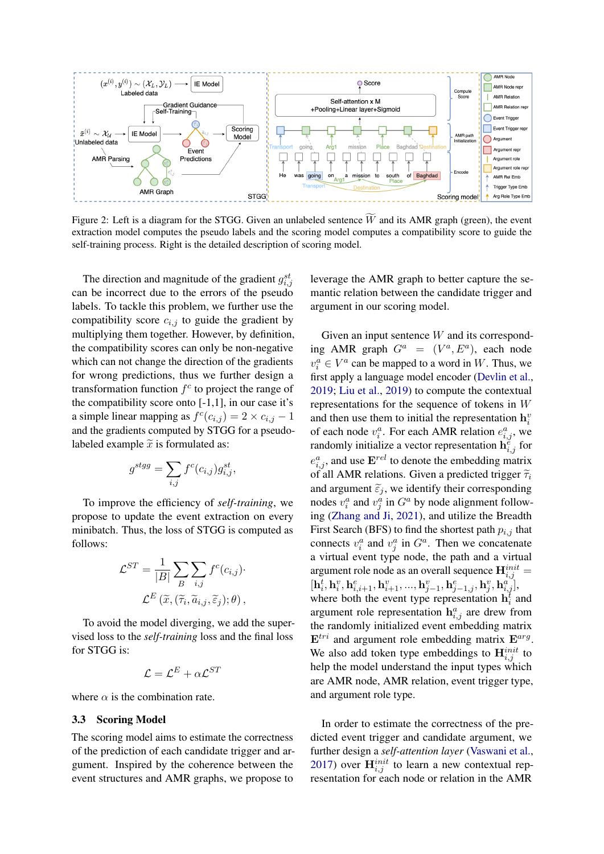<span id="page-3-0"></span>

Figure 2: Left is a diagram for the STGG. Given an unlabeled sentence  $\widetilde{W}$  and its AMR graph (green), the event extraction model computes the pseudo labels and the scoring model computes a compatibility score to guide the self-training process. Right is the detailed description of scoring model.

The direction and magnitude of the gradient  $g_{i,j}^{st}$ can be incorrect due to the errors of the pseudo labels. To tackle this problem, we further use the compatibility score  $c_{i,j}$  to guide the gradient by multiplying them together. However, by definition, the compatibility scores can only be non-negative which can not change the direction of the gradients for wrong predictions, thus we further design a transformation function  $f^c$  to project the range of the compatibility score onto  $[-1,1]$ , in our case it's a simple linear mapping as  $f^c(c_{i,j}) = 2 \times c_{i,j} - 1$ and the gradients computed by STGG for a pseudolabeled example  $\tilde{x}$  is formulated as:

$$
g^{stgg} = \sum_{i,j} f^c(c_{i,j}) g_{i,j}^{st},
$$

To improve the efficiency of *self-training*, we propose to update the event extraction on every minibatch. Thus, the loss of STGG is computed as follows:

$$
\mathcal{L}^{ST} = \frac{1}{|B|} \sum_{B} \sum_{i,j} f^{c}(c_{i,j}) \cdot \mathcal{L}^{E}(\widetilde{x}, (\widetilde{\tau}_{i}, \widetilde{a}_{i,j}, \widetilde{\varepsilon}_{j}); \theta),
$$

To avoid the model diverging, we add the supervised loss to the *self-training* loss and the final loss for STGG is:

$$
\mathcal{L} = \mathcal{L}^E + \alpha \mathcal{L}^{ST}
$$

where  $\alpha$  is the combination rate.

#### 3.3 Scoring Model

The scoring model aims to estimate the correctness of the prediction of each candidate trigger and argument. Inspired by the coherence between the event structures and AMR graphs, we propose to

leverage the AMR graph to better capture the semantic relation between the candidate trigger and argument in our scoring model.

Given an input sentence  $W$  and its corresponding AMR graph  $G^a = (V^a, E^a)$ , each node  $v_i^a \in V^a$  can be mapped to a word in W. Thus, we first apply a language model encoder [\(Devlin et al.,](#page-8-2) [2019;](#page-8-2) [Liu et al.,](#page-10-2) [2019\)](#page-10-2) to compute the contextual representations for the sequence of tokens in W and then use them to initial the representation  $h_i^v$ of each node  $v_i^a$ . For each AMR relation  $e_{i,j}^a$ , we randomly initialize a vector representation  $\mathbf{h}_{i,j}^{\tilde{e}}$  for  $e_{i,j}^a$ , and use  $\mathbf{E}^{rel}$  to denote the embedding matrix of all AMR relations. Given a predicted trigger  $\tilde{\tau}_i$ and argument  $\tilde{\varepsilon}_j$ , we identify their corresponding nodes  $v_i^a$  and  $v_j^a$  in  $G^a$  by node alignment following [\(Zhang and Ji,](#page-11-1) [2021\)](#page-11-1), and utilize the Breadth First Search (BFS) to find the shortest path  $p_{i,j}$  that connects  $v_i^a$  and  $v_j^a$  in  $G^a$ . Then we concatenate a virtual event type node, the path and a virtual argument role node as an overall sequence  $\mathbf{H}_{i,j}^{init} =$  $[\mathbf{h}^t_i, \mathbf{h}^v_i, \mathbf{h}^e_{i,i+1}, \mathbf{h}^v_{i+1}, ..., \mathbf{h}^v_{j-1}, \mathbf{h}^e_{j-1,j}, \mathbf{h}^v_j, \mathbf{h}^a_{i,j}],$ where both the event type representation  $\mathbf{h}_i^t$  and argument role representation  $h_{i,j}^a$  are drew from the randomly initialized event embedding matrix  $E^{tri}$  and argument role embedding matrix  $E^{arg}$ . We also add token type embeddings to  $\mathbf{H}_{i,j}^{init}$  to help the model understand the input types which are AMR node, AMR relation, event trigger type, and argument role type.

In order to estimate the correctness of the predicted event trigger and candidate argument, we further design a *self-attention layer* [\(Vaswani et al.,](#page-10-5) [2017\)](#page-10-5) over  $\mathbf{H}_{i,j}^{init}$  to learn a new contextual representation for each node or relation in the AMR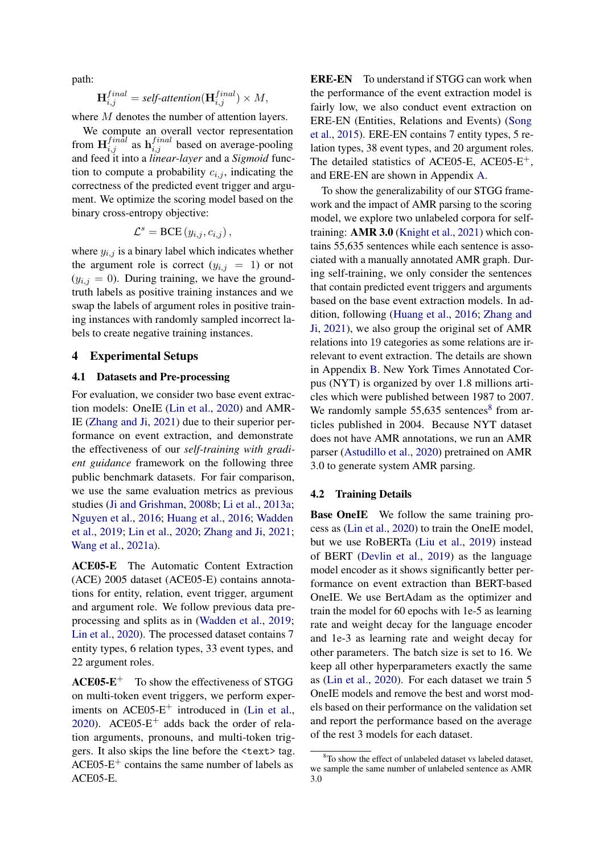path:

$$
\mathbf{H}^{final}_{i,j} = \textit{self-attention}(\mathbf{H}^{final}_{i,j}) \times M,
$$

where M denotes the number of attention layers.

We compute an overall vector representation from  $\mathbf{H}_{i,j}^{final}$  as  $\mathbf{h}_{i,j}^{final}$  based on average-pooling and feed it into a *linear-layer* and a *Sigmoid* function to compute a probability  $c_{i,j}$ , indicating the correctness of the predicted event trigger and argument. We optimize the scoring model based on the binary cross-entropy objective:

$$
\mathcal{L}^s = \text{BCE} (y_{i,j}, c_{i,j}),
$$

where  $y_{i,j}$  is a binary label which indicates whether the argument role is correct  $(y_{i,j} = 1)$  or not  $(y_{i,j} = 0)$ . During training, we have the groundtruth labels as positive training instances and we swap the labels of argument roles in positive training instances with randomly sampled incorrect labels to create negative training instances.

### 4 Experimental Setups

## 4.1 Datasets and Pre-processing

For evaluation, we consider two base event extraction models: OneIE [\(Lin et al.,](#page-10-1) [2020\)](#page-10-1) and AMR-IE [\(Zhang and Ji,](#page-11-1) [2021\)](#page-11-1) due to their superior performance on event extraction, and demonstrate the effectiveness of our *self-training with gradient guidance* framework on the following three public benchmark datasets. For fair comparison, we use the same evaluation metrics as previous studies [\(Ji and Grishman,](#page-9-5) [2008b;](#page-9-5) [Li et al.,](#page-9-6) [2013a;](#page-9-6) [Nguyen et al.,](#page-10-6) [2016;](#page-10-6) [Huang et al.,](#page-9-2) [2016;](#page-9-2) [Wadden](#page-10-7) [et al.,](#page-10-7) [2019;](#page-10-7) [Lin et al.,](#page-10-1) [2020;](#page-10-1) [Zhang and Ji,](#page-11-1) [2021;](#page-11-1) [Wang et al.,](#page-11-3) [2021a\)](#page-11-3).

ACE05-E The Automatic Content Extraction (ACE) 2005 dataset (ACE05-E) contains annotations for entity, relation, event trigger, argument and argument role. We follow previous data preprocessing and splits as in [\(Wadden et al.,](#page-10-7) [2019;](#page-10-7) [Lin et al.,](#page-10-1) [2020\)](#page-10-1). The processed dataset contains 7 entity types, 6 relation types, 33 event types, and 22 argument roles.

 $ACE05-E^{+}$  To show the effectiveness of STGG on multi-token event triggers, we perform exper-iments on ACE05-E<sup>+</sup> introduced in [\(Lin et al.,](#page-10-1) [2020\)](#page-10-1). ACE05- $E^+$  adds back the order of relation arguments, pronouns, and multi-token triggers. It also skips the line before the <text> tag.  $ACE05-E^+$  contains the same number of labels as ACE05-E.

ERE-EN To understand if STGG can work when the performance of the event extraction model is fairly low, we also conduct event extraction on ERE-EN (Entities, Relations and Events) [\(Song](#page-10-8) [et al.,](#page-10-8) [2015\)](#page-10-8). ERE-EN contains 7 entity types, 5 relation types, 38 event types, and 20 argument roles. The detailed statistics of ACE05-E, ACE05-E+, and ERE-EN are shown in Appendix [A.](#page-11-4)

To show the generalizability of our STGG framework and the impact of AMR parsing to the scoring model, we explore two unlabeled corpora for selftraining: AMR 3.0 [\(Knight et al.,](#page-9-7) [2021\)](#page-9-7) which contains 55,635 sentences while each sentence is associated with a manually annotated AMR graph. During self-training, we only consider the sentences that contain predicted event triggers and arguments based on the base event extraction models. In addition, following [\(Huang et al.,](#page-9-2) [2016;](#page-9-2) [Zhang and](#page-11-1) [Ji,](#page-11-1) [2021\)](#page-11-1), we also group the original set of AMR relations into 19 categories as some relations are irrelevant to event extraction. The details are shown in Appendix [B.](#page-11-5) New York Times Annotated Corpus (NYT) is organized by over 1.8 millions articles which were published between 1987 to 2007. We randomly sample  $55,635$  sentences<sup>[8](#page-4-0)</sup> from articles published in 2004. Because NYT dataset does not have AMR annotations, we run an AMR parser [\(Astudillo et al.,](#page-8-3) [2020\)](#page-8-3) pretrained on AMR 3.0 to generate system AMR parsing.

### 4.2 Training Details

**Base OneIE** We follow the same training process as [\(Lin et al.,](#page-10-1) [2020\)](#page-10-1) to train the OneIE model, but we use RoBERTa [\(Liu et al.,](#page-10-2) [2019\)](#page-10-2) instead of BERT [\(Devlin et al.,](#page-8-2) [2019\)](#page-8-2) as the language model encoder as it shows significantly better performance on event extraction than BERT-based OneIE. We use BertAdam as the optimizer and train the model for 60 epochs with 1e-5 as learning rate and weight decay for the language encoder and 1e-3 as learning rate and weight decay for other parameters. The batch size is set to 16. We keep all other hyperparameters exactly the same as [\(Lin et al.,](#page-10-1) [2020\)](#page-10-1). For each dataset we train 5 OneIE models and remove the best and worst models based on their performance on the validation set and report the performance based on the average of the rest 3 models for each dataset.

<span id="page-4-0"></span><sup>&</sup>lt;sup>8</sup>To show the effect of unlabeled dataset vs labeled dataset, we sample the same number of unlabeled sentence as AMR 3.0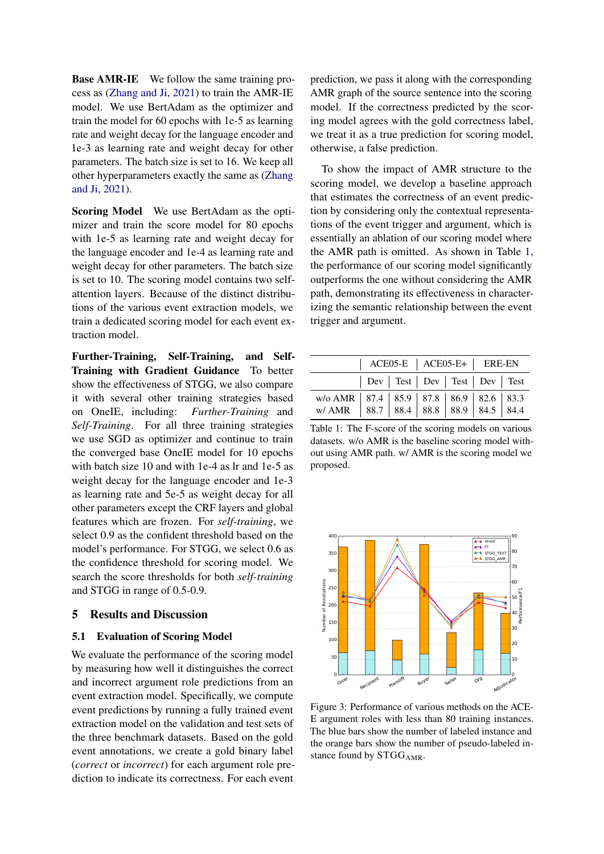Base AMR-IE We follow the same training process as [\(Zhang and Ji,](#page-11-1) [2021\)](#page-11-1) to train the AMR-IE model. We use BertAdam as the optimizer and train the model for 60 epochs with 1e-5 as learning rate and weight decay for the language encoder and 1e-3 as learning rate and weight decay for other parameters. The batch size is set to 16. We keep all other hyperparameters exactly the same as [\(Zhang](#page-11-1) [and Ji,](#page-11-1) [2021\)](#page-11-1).

Scoring Model We use BertAdam as the optimizer and train the score model for 80 epochs with 1e-5 as learning rate and weight decay for the language encoder and 1e-4 as learning rate and weight decay for other parameters. The batch size is set to 10. The scoring model contains two selfattention layers. Because of the distinct distributions of the various event extraction models, we train a dedicated scoring model for each event extraction model.

Further-Training, Self-Training, and Self-Training with Gradient Guidance To better show the effectiveness of STGG, we also compare it with several other training strategies based on OneIE, including: *Further-Training* and *Self-Training*. For all three training strategies we use SGD as optimizer and continue to train the converged base OneIE model for 10 epochs with batch size 10 and with 1e-4 as lr and 1e-5 as weight decay for the language encoder and 1e-3 as learning rate and 5e-5 as weight decay for all other parameters except the CRF layers and global features which are frozen. For *self-training*, we select 0.9 as the confident threshold based on the model's performance. For STGG, we select 0.6 as the confidence threshold for scoring model. We search the score thresholds for both *self-training* and STGG in range of 0.5-0.9.

## 5 Results and Discussion

### 5.1 Evaluation of Scoring Model

We evaluate the performance of the scoring model by measuring how well it distinguishes the correct and incorrect argument role predictions from an event extraction model. Specifically, we compute event predictions by running a fully trained event extraction model on the validation and test sets of the three benchmark datasets. Based on the gold event annotations, we create a gold binary label (*correct* or *incorrect*) for each argument role prediction to indicate its correctness. For each event

prediction, we pass it along with the corresponding AMR graph of the source sentence into the scoring model. If the correctness predicted by the scoring model agrees with the gold correctness label, we treat it as a true prediction for scoring model, otherwise, a false prediction.

To show the impact of AMR structure to the scoring model, we develop a baseline approach that estimates the correctness of an event prediction by considering only the contextual representations of the event trigger and argument, which is essentially an ablation of our scoring model where the AMR path is omitted. As shown in Table [1,](#page-5-0) the performance of our scoring model significantly outperforms the one without considering the AMR path, demonstrating its effectiveness in characterizing the semantic relationship between the event trigger and argument.

<span id="page-5-0"></span>

|                                                                                                       |                                      |  | $\vert$ ACE05-E $\vert$ ACE05-E+ $\vert$ ERE-EN |  |  |
|-------------------------------------------------------------------------------------------------------|--------------------------------------|--|-------------------------------------------------|--|--|
|                                                                                                       | Dev   Test   Dev   Test   Dev   Test |  |                                                 |  |  |
| w/o AMR   87.4   85.9   87.8   86.9   82.6   83.3<br>w/ AMR   88.7   88.4   88.8   88.9   84.5   84.4 |                                      |  |                                                 |  |  |

Table 1: The F-score of the scoring models on various datasets. w/o AMR is the baseline scoring model without using AMR path. w/ AMR is the scoring model we proposed.

<span id="page-5-1"></span>

Figure 3: Performance of various methods on the ACE-E argument roles with less than 80 training instances. The blue bars show the number of labeled instance and the orange bars show the number of pseudo-labeled instance found by STGG<sub>AMR</sub>.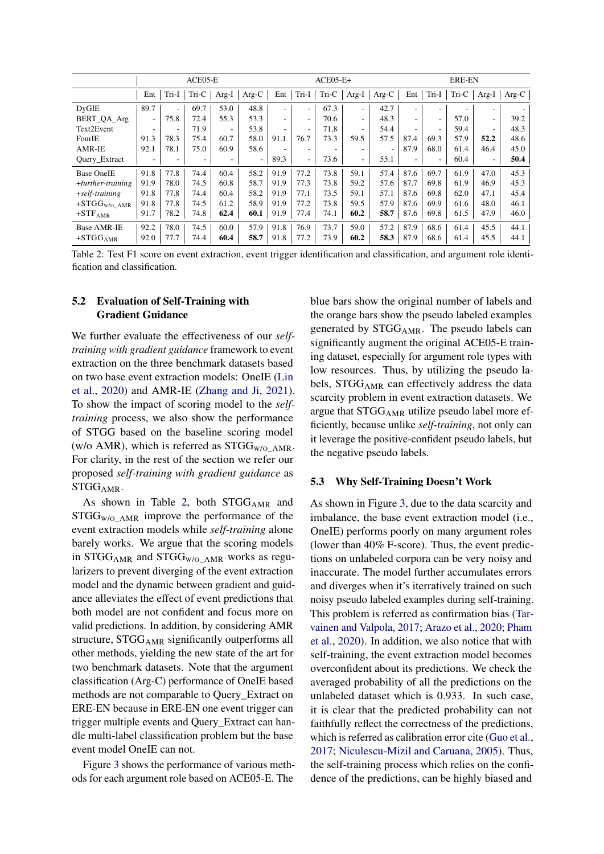<span id="page-6-0"></span>

|                      | ACE05-E                  |                          |       | $ACE05-E+$               |         |                          |                          |       | <b>ERE-EN</b>            |         |      |       |                          |                          |                          |
|----------------------|--------------------------|--------------------------|-------|--------------------------|---------|--------------------------|--------------------------|-------|--------------------------|---------|------|-------|--------------------------|--------------------------|--------------------------|
|                      | Ent                      | Tri-I                    | Tri-C | $Arg-I$                  | $Arg-C$ | Ent                      | Tri-I                    | Tri-C | Arg-I                    | $Arg-C$ | Ent  | Tri-I | Tri-C                    | $Arg-I$                  | $Arg-C$                  |
| <b>DyGIE</b>         | 89.7                     | $\overline{\phantom{a}}$ | 69.7  | 53.0                     | 48.8    | $\overline{\phantom{0}}$ | $\overline{\phantom{a}}$ | 67.3  | $\overline{\phantom{a}}$ | 42.7    | ۰.   | ۰.    | $\overline{\phantom{a}}$ | $\overline{\phantom{a}}$ | $\overline{\phantom{a}}$ |
| BERT_QA_Arg          | $\overline{\phantom{a}}$ | 75.8                     | 72.4  | 55.3                     | 53.3    | $\overline{\phantom{0}}$ | $\overline{\phantom{a}}$ | 70.6  | $\overline{\phantom{0}}$ | 48.3    | ٠    | -     | 57.0                     | ٠                        | 39.2                     |
| Text2Event           | ۰                        | ٠                        | 71.9  | $\overline{\phantom{a}}$ | 53.8    | ۰                        | ۰                        | 71.8  | ۰                        | 54.4    |      |       | 59.4                     | $\overline{\phantom{a}}$ | 48.3                     |
| FourIE               | 91.3                     | 78.3                     | 75.4  | 60.7                     | 58.0    | 91.1                     | 76.7                     | 73.3  | 59.5                     | 57.5    | 87.4 | 69.3  | 57.9                     | 52.2                     | 48.6                     |
| AMR-IE               | 92.1                     | 78.1                     | 75.0  | 60.9                     | 58.6    |                          | ٠                        |       | ۰                        |         | 87.9 | 68.0  | 61.4                     | 46.4                     | 45.0                     |
| Query_Extract        | $\overline{\phantom{a}}$ | $\overline{\phantom{a}}$ | ۰     | $\overline{\phantom{a}}$ | ٠       | 89.3                     | $\sim$                   | 73.6  | $\overline{a}$           | 55.1    | ۰    | -     | 60.4                     | $\overline{\phantom{a}}$ | 50.4                     |
| <b>Base OneIE</b>    | 91.8                     | 77.8                     | 74.4  | 60.4                     | 58.2    | 91.9                     | 77.2                     | 73.8  | 59.1                     | 57.4    | 87.6 | 69.7  | 61.9                     | 47.0                     | 45.3                     |
| $+ further-training$ | 91.9                     | 78.0                     | 74.5  | 60.8                     | 58.7    | 91.9                     | 77.3                     | 73.8  | 59.2                     | 57.6    | 87.7 | 69.8  | 61.9                     | 46.9                     | 45.3                     |
| $+$ self-training    | 91.8                     | 77.8                     | 74.4  | 60.4                     | 58.2    | 91.9                     | 77.1                     | 73.5  | 59.1                     | 57.1    | 87.6 | 69.8  | 62.0                     | 47.1                     | 45.4                     |
| $+STGGW/O_{AMR}$     | 91.8                     | 77.8                     | 74.5  | 61.2                     | 58.9    | 91.9                     | 77.2                     | 73.8  | 59.5                     | 57.9    | 87.6 | 69.9  | 61.6                     | 48.0                     | 46.1                     |
| $+STFAMR$            | 91.7                     | 78.2                     | 74.8  | 62.4                     | 60.1    | 91.9                     | 77.4                     | 74.1  | 60.2                     | 58.7    | 87.6 | 69.8  | 61.5                     | 47.9                     | 46.0                     |
| <b>Base AMR-IE</b>   | 92.2                     | 78.0                     | 74.5  | 60.0                     | 57.9    | 91.8                     | 76.9                     | 73.7  | 59.0                     | 57.2    | 87.9 | 68.6  | 61.4                     | 45.5                     | 44.1                     |
| $+STGGAMR$           | 92.0                     | 77.7                     | 74.4  | 60.4                     | 58.7    | 91.8                     | 77.2                     | 73.9  | 60.2                     | 58.3    | 87.9 | 68.6  | 61.4                     | 45.5                     | 44.1                     |

Table 2: Test F1 score on event extraction, event trigger identification and classification, and argument role identification and classification.

## 5.2 Evaluation of Self-Training with Gradient Guidance

We further evaluate the effectiveness of our *selftraining with gradient guidance* framework to event extraction on the three benchmark datasets based on two base event extraction models: OneIE [\(Lin](#page-10-1) [et al.,](#page-10-1) [2020\)](#page-10-1) and AMR-IE [\(Zhang and Ji,](#page-11-1) [2021\)](#page-11-1). To show the impact of scoring model to the *selftraining* process, we also show the performance of STGG based on the baseline scoring model (w/o AMR), which is referred as  $STGG_{W/O}$  AMR. For clarity, in the rest of the section we refer our proposed *self-training with gradient guidance* as STGGAMR.

As shown in Table [2,](#page-6-0) both STGGAMR and  $STGG_{W/O-AMR}$  improve the performance of the event extraction models while *self-training* alone barely works. We argue that the scoring models in STGG<sub>AMR</sub> and STGG<sub>W/O\_AMR</sub> works as regularizers to prevent diverging of the event extraction model and the dynamic between gradient and guidance alleviates the effect of event predictions that both model are not confident and focus more on valid predictions. In addition, by considering AMR structure,  $STGG_{AMR}$  significantly outperforms all other methods, yielding the new state of the art for two benchmark datasets. Note that the argument classification (Arg-C) performance of OneIE based methods are not comparable to Query\_Extract on ERE-EN because in ERE-EN one event trigger can trigger multiple events and Query\_Extract can handle multi-label classification problem but the base event model OneIE can not.

Figure [3](#page-5-1) shows the performance of various methods for each argument role based on ACE05-E. The

blue bars show the original number of labels and the orange bars show the pseudo labeled examples generated by  $STGG_{AMR}$ . The pseudo labels can significantly augment the original ACE05-E training dataset, especially for argument role types with low resources. Thus, by utilizing the pseudo labels, STGG<sub>AMR</sub> can effectively address the data scarcity problem in event extraction datasets. We argue that  $STGG_{AMR}$  utilize pseudo label more efficiently, because unlike *self-training*, not only can it leverage the positive-confident pseudo labels, but the negative pseudo labels.

#### 5.3 Why Self-Training Doesn't Work

As shown in Figure [3,](#page-5-1) due to the data scarcity and imbalance, the base event extraction model (i.e., OneIE) performs poorly on many argument roles (lower than 40% F-score). Thus, the event predictions on unlabeled corpora can be very noisy and inaccurate. The model further accumulates errors and diverges when it's iterratively trained on such noisy pseudo labeled examples during self-training. This problem is referred as confirmation bias [\(Tar](#page-10-9)[vainen and Valpola,](#page-10-9) [2017;](#page-10-9) [Arazo et al.,](#page-8-0) [2020;](#page-8-0) [Pham](#page-10-10) [et al.,](#page-10-10) [2020\)](#page-10-10). In addition, we also notice that with self-training, the event extraction model becomes overconfident about its predictions. We check the averaged probability of all the predictions on the unlabeled dataset which is 0.933. In such case, it is clear that the predicted probability can not faithfully reflect the correctness of the predictions, which is referred as calibration error cite [\(Guo et al.,](#page-9-8) [2017;](#page-9-8) [Niculescu-Mizil and Caruana,](#page-10-11) [2005\)](#page-10-11). Thus, the self-training process which relies on the confidence of the predictions, can be highly biased and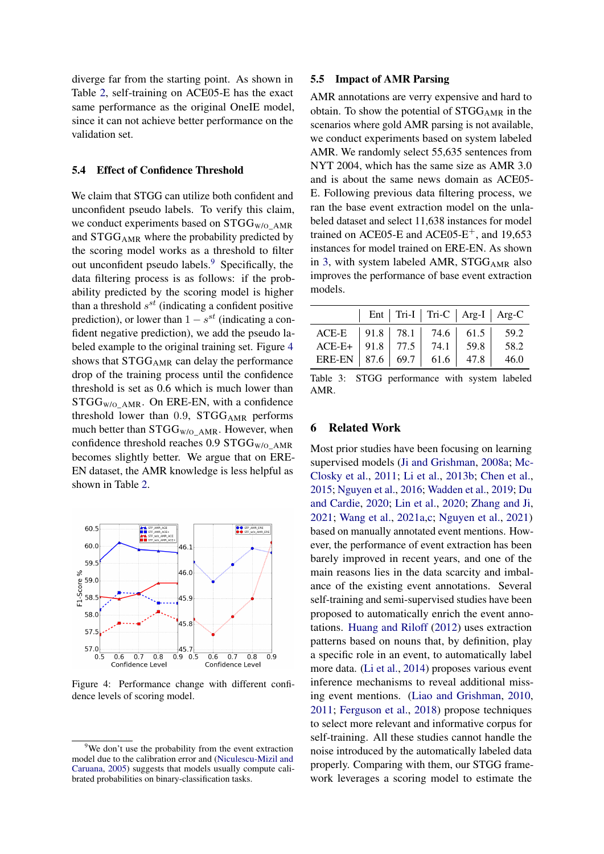diverge far from the starting point. As shown in Table [2,](#page-6-0) self-training on ACE05-E has the exact same performance as the original OneIE model, since it can not achieve better performance on the validation set.

### 5.4 Effect of Confidence Threshold

We claim that STGG can utilize both confident and unconfident pseudo labels. To verify this claim, we conduct experiments based on  $STGG_{W/O}$  AMR and STGGAMR where the probability predicted by the scoring model works as a threshold to filter out unconfident pseudo labels.[9](#page-7-0) Specifically, the data filtering process is as follows: if the probability predicted by the scoring model is higher than a threshold  $s^{st}$  (indicating a confident positive prediction), or lower than  $1 - s^{st}$  (indicating a confident negative prediction), we add the pseudo labeled example to the original training set. Figure [4](#page-7-1) shows that  $STGG_{AMR}$  can delay the performance drop of the training process until the confidence threshold is set as 0.6 which is much lower than  $STGG_{W/O\_AMR}$ . On ERE-EN, with a confidence threshold lower than  $0.9$ , STGG<sub>AMR</sub> performs much better than  $STGG_{W/O\_AMR}$ . However, when confidence threshold reaches 0.9  $STGG_{W/O-AMR}$ becomes slightly better. We argue that on ERE-EN dataset, the AMR knowledge is less helpful as shown in Table [2.](#page-6-0)

<span id="page-7-1"></span>

Figure 4: Performance change with different confidence levels of scoring model.

### 5.5 Impact of AMR Parsing

AMR annotations are verry expensive and hard to obtain. To show the potential of STGG<sub>AMR</sub> in the scenarios where gold AMR parsing is not available, we conduct experiments based on system labeled AMR. We randomly select 55,635 sentences from NYT 2004, which has the same size as AMR 3.0 and is about the same news domain as ACE05- E. Following previous data filtering process, we ran the base event extraction model on the unlabeled dataset and select 11,638 instances for model trained on ACE05-E and ACE05-E<sup>+</sup>, and 19,653 instances for model trained on ERE-EN. As shown in [3,](#page-7-2) with system labeled AMR,  $STGG_{AMR}$  also improves the performance of base event extraction models.

<span id="page-7-2"></span>

|                                                                                                                |  | Ent   Tri-I   Tri-C   Arg-I   Arg-C |  |
|----------------------------------------------------------------------------------------------------------------|--|-------------------------------------|--|
| ACE-E 91.8 78.1 74.6 61.5 59.2<br>ACE-E+ 91.8 77.5 74.1 59.8 58.2<br>ERE-EN   87.6   69.7   61.6   47.8   46.0 |  |                                     |  |

Table 3: STGG performance with system labeled AMR.

## 6 Related Work

Most prior studies have been focusing on learning supervised models [\(Ji and Grishman,](#page-9-9) [2008a;](#page-9-9) [Mc-](#page-10-12)[Closky et al.,](#page-10-12) [2011;](#page-10-12) [Li et al.,](#page-9-10) [2013b;](#page-9-10) [Chen et al.,](#page-8-4) [2015;](#page-8-4) [Nguyen et al.,](#page-10-6) [2016;](#page-10-6) [Wadden et al.,](#page-10-7) [2019;](#page-10-7) [Du](#page-8-5) [and Cardie,](#page-8-5) [2020;](#page-8-5) [Lin et al.,](#page-10-1) [2020;](#page-10-1) [Zhang and Ji,](#page-11-1) [2021;](#page-11-1) [Wang et al.,](#page-11-3) [2021a,](#page-11-3)[c;](#page-11-2) [Nguyen et al.,](#page-10-13) [2021\)](#page-10-13) based on manually annotated event mentions. However, the performance of event extraction has been barely improved in recent years, and one of the main reasons lies in the data scarcity and imbalance of the existing event annotations. Several self-training and semi-supervised studies have been proposed to automatically enrich the event annotations. [Huang and Riloff](#page-9-0) [\(2012\)](#page-9-0) uses extraction patterns based on nouns that, by definition, play a specific role in an event, to automatically label more data. [\(Li et al.,](#page-9-11) [2014\)](#page-9-11) proposes various event inference mechanisms to reveal additional missing event mentions. [\(Liao and Grishman,](#page-9-12) [2010,](#page-9-12) [2011;](#page-9-13) [Ferguson et al.,](#page-9-14) [2018\)](#page-9-14) propose techniques to select more relevant and informative corpus for self-training. All these studies cannot handle the noise introduced by the automatically labeled data properly. Comparing with them, our STGG framework leverages a scoring model to estimate the

<span id="page-7-0"></span><sup>&</sup>lt;sup>9</sup>We don't use the probability from the event extraction model due to the calibration error and [\(Niculescu-Mizil and](#page-10-11) [Caruana,](#page-10-11) [2005\)](#page-10-11) suggests that models usually compute calibrated probabilities on binary-classification tasks.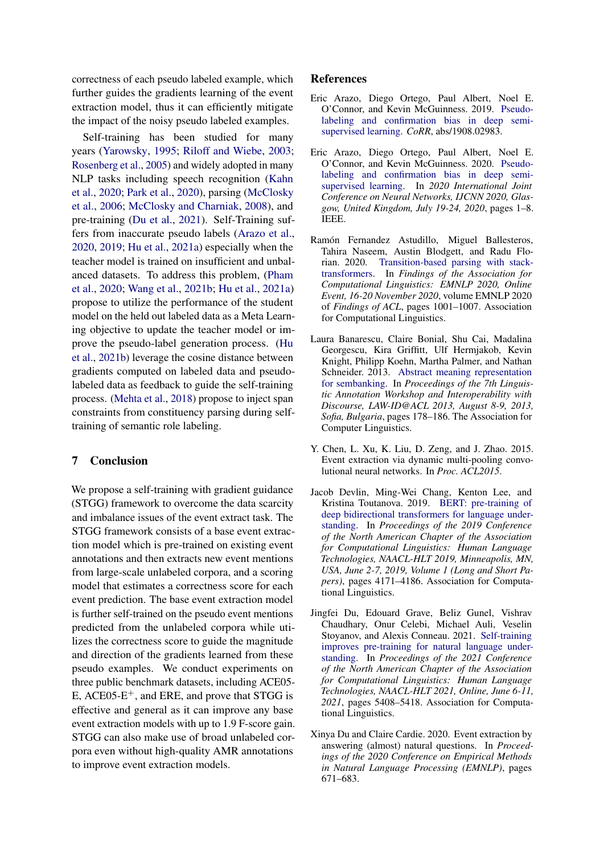correctness of each pseudo labeled example, which further guides the gradients learning of the event extraction model, thus it can efficiently mitigate the impact of the noisy pseudo labeled examples.

Self-training has been studied for many years [\(Yarowsky,](#page-11-6) [1995;](#page-11-6) [Riloff and Wiebe,](#page-10-14) [2003;](#page-10-14) [Rosenberg et al.,](#page-10-4) [2005\)](#page-10-4) and widely adopted in many NLP tasks including speech recognition [\(Kahn](#page-9-15) [et al.,](#page-9-15) [2020;](#page-9-15) [Park et al.,](#page-10-15) [2020\)](#page-10-15), parsing [\(McClosky](#page-10-16) [et al.,](#page-10-16) [2006;](#page-10-16) [McClosky and Charniak,](#page-10-17) [2008\)](#page-10-17), and pre-training [\(Du et al.,](#page-8-6) [2021\)](#page-8-6). Self-Training suffers from inaccurate pseudo labels [\(Arazo et al.,](#page-8-0) [2020,](#page-8-0) [2019;](#page-8-7) [Hu et al.,](#page-9-16) [2021a\)](#page-9-16) especially when the teacher model is trained on insufficient and unbalanced datasets. To address this problem, [\(Pham](#page-10-10) [et al.,](#page-10-10) [2020;](#page-10-10) [Wang et al.,](#page-11-7) [2021b;](#page-11-7) [Hu et al.,](#page-9-16) [2021a\)](#page-9-16) propose to utilize the performance of the student model on the held out labeled data as a Meta Learning objective to update the teacher model or improve the pseudo-label generation process. [\(Hu](#page-9-17) [et al.,](#page-9-17) [2021b\)](#page-9-17) leverage the cosine distance between gradients computed on labeled data and pseudolabeled data as feedback to guide the self-training process. [\(Mehta et al.,](#page-10-18) [2018\)](#page-10-18) propose to inject span constraints from constituency parsing during selftraining of semantic role labeling.

### 7 Conclusion

We propose a self-training with gradient guidance (STGG) framework to overcome the data scarcity and imbalance issues of the event extract task. The STGG framework consists of a base event extraction model which is pre-trained on existing event annotations and then extracts new event mentions from large-scale unlabeled corpora, and a scoring model that estimates a correctness score for each event prediction. The base event extraction model is further self-trained on the pseudo event mentions predicted from the unlabeled corpora while utilizes the correctness score to guide the magnitude and direction of the gradients learned from these pseudo examples. We conduct experiments on three public benchmark datasets, including ACE05- E, ACE05- $E^+$ , and ERE, and prove that STGG is effective and general as it can improve any base event extraction models with up to 1.9 F-score gain. STGG can also make use of broad unlabeled corpora even without high-quality AMR annotations to improve event extraction models.

#### References

- <span id="page-8-7"></span>Eric Arazo, Diego Ortego, Paul Albert, Noel E. O'Connor, and Kevin McGuinness. 2019. [Pseudo](http://arxiv.org/abs/1908.02983)[labeling and confirmation bias in deep semi](http://arxiv.org/abs/1908.02983)[supervised learning.](http://arxiv.org/abs/1908.02983) *CoRR*, abs/1908.02983.
- <span id="page-8-0"></span>Eric Arazo, Diego Ortego, Paul Albert, Noel E. O'Connor, and Kevin McGuinness. 2020. [Pseudo](https://doi.org/10.1109/IJCNN48605.2020.9207304)[labeling and confirmation bias in deep semi](https://doi.org/10.1109/IJCNN48605.2020.9207304)[supervised learning.](https://doi.org/10.1109/IJCNN48605.2020.9207304) In *2020 International Joint Conference on Neural Networks, IJCNN 2020, Glasgow, United Kingdom, July 19-24, 2020*, pages 1–8. IEEE.
- <span id="page-8-3"></span>Ramón Fernandez Astudillo, Miguel Ballesteros, Tahira Naseem, Austin Blodgett, and Radu Florian. 2020. [Transition-based parsing with stack](https://doi.org/10.18653/v1/2020.findings-emnlp.89)[transformers.](https://doi.org/10.18653/v1/2020.findings-emnlp.89) In *Findings of the Association for Computational Linguistics: EMNLP 2020, Online Event, 16-20 November 2020*, volume EMNLP 2020 of *Findings of ACL*, pages 1001–1007. Association for Computational Linguistics.
- <span id="page-8-1"></span>Laura Banarescu, Claire Bonial, Shu Cai, Madalina Georgescu, Kira Griffitt, Ulf Hermjakob, Kevin Knight, Philipp Koehn, Martha Palmer, and Nathan Schneider. 2013. [Abstract meaning representation](https://aclanthology.org/W13-2322/) [for sembanking.](https://aclanthology.org/W13-2322/) In *Proceedings of the 7th Linguistic Annotation Workshop and Interoperability with Discourse, LAW-ID@ACL 2013, August 8-9, 2013, Sofia, Bulgaria*, pages 178–186. The Association for Computer Linguistics.
- <span id="page-8-4"></span>Y. Chen, L. Xu, K. Liu, D. Zeng, and J. Zhao. 2015. Event extraction via dynamic multi-pooling convolutional neural networks. In *Proc. ACL2015*.
- <span id="page-8-2"></span>Jacob Devlin, Ming-Wei Chang, Kenton Lee, and Kristina Toutanova. 2019. [BERT: pre-training of](https://doi.org/10.18653/v1/n19-1423) [deep bidirectional transformers for language under](https://doi.org/10.18653/v1/n19-1423)[standing.](https://doi.org/10.18653/v1/n19-1423) In *Proceedings of the 2019 Conference of the North American Chapter of the Association for Computational Linguistics: Human Language Technologies, NAACL-HLT 2019, Minneapolis, MN, USA, June 2-7, 2019, Volume 1 (Long and Short Papers)*, pages 4171–4186. Association for Computational Linguistics.
- <span id="page-8-6"></span>Jingfei Du, Edouard Grave, Beliz Gunel, Vishrav Chaudhary, Onur Celebi, Michael Auli, Veselin Stoyanov, and Alexis Conneau. 2021. [Self-training](https://doi.org/10.18653/v1/2021.naacl-main.426) [improves pre-training for natural language under](https://doi.org/10.18653/v1/2021.naacl-main.426)[standing.](https://doi.org/10.18653/v1/2021.naacl-main.426) In *Proceedings of the 2021 Conference of the North American Chapter of the Association for Computational Linguistics: Human Language Technologies, NAACL-HLT 2021, Online, June 6-11, 2021*, pages 5408–5418. Association for Computational Linguistics.
- <span id="page-8-5"></span>Xinya Du and Claire Cardie. 2020. Event extraction by answering (almost) natural questions. In *Proceedings of the 2020 Conference on Empirical Methods in Natural Language Processing (EMNLP)*, pages 671–683.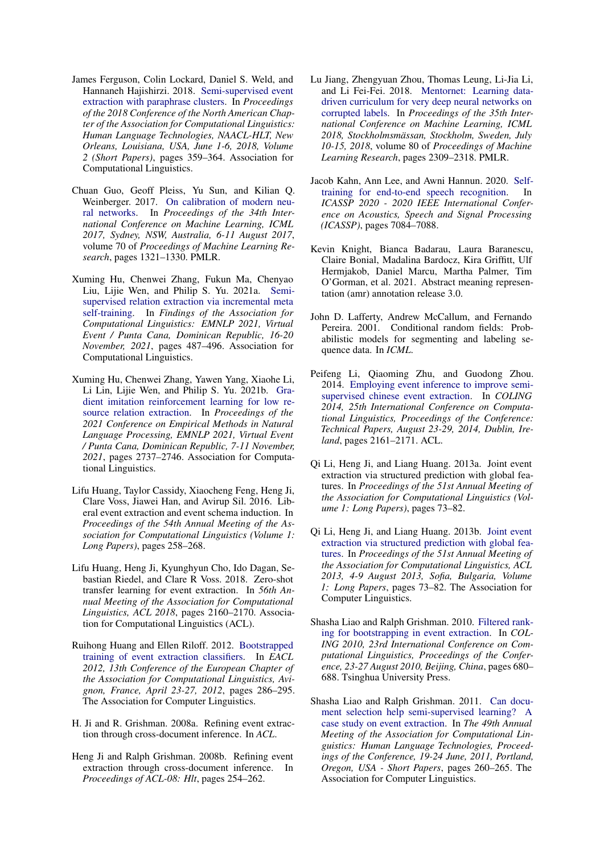- <span id="page-9-14"></span>James Ferguson, Colin Lockard, Daniel S. Weld, and Hannaneh Hajishirzi. 2018. [Semi-supervised event](https://doi.org/10.18653/v1/n18-2058) [extraction with paraphrase clusters.](https://doi.org/10.18653/v1/n18-2058) In *Proceedings of the 2018 Conference of the North American Chapter of the Association for Computational Linguistics: Human Language Technologies, NAACL-HLT, New Orleans, Louisiana, USA, June 1-6, 2018, Volume 2 (Short Papers)*, pages 359–364. Association for Computational Linguistics.
- <span id="page-9-8"></span>Chuan Guo, Geoff Pleiss, Yu Sun, and Kilian Q. Weinberger. 2017. [On calibration of modern neu](http://proceedings.mlr.press/v70/guo17a.html)[ral networks.](http://proceedings.mlr.press/v70/guo17a.html) In *Proceedings of the 34th International Conference on Machine Learning, ICML 2017, Sydney, NSW, Australia, 6-11 August 2017*, volume 70 of *Proceedings of Machine Learning Research*, pages 1321–1330. PMLR.
- <span id="page-9-16"></span>Xuming Hu, Chenwei Zhang, Fukun Ma, Chenyao Liu, Lijie Wen, and Philip S. Yu. 2021a. [Semi](https://doi.org/10.18653/v1/2021.findings-emnlp.44)[supervised relation extraction via incremental meta](https://doi.org/10.18653/v1/2021.findings-emnlp.44) [self-training.](https://doi.org/10.18653/v1/2021.findings-emnlp.44) In *Findings of the Association for Computational Linguistics: EMNLP 2021, Virtual Event / Punta Cana, Dominican Republic, 16-20 November, 2021*, pages 487–496. Association for Computational Linguistics.
- <span id="page-9-17"></span>Xuming Hu, Chenwei Zhang, Yawen Yang, Xiaohe Li, Li Lin, Lijie Wen, and Philip S. Yu. 2021b. [Gra](https://doi.org/10.18653/v1/2021.emnlp-main.216)[dient imitation reinforcement learning for low re](https://doi.org/10.18653/v1/2021.emnlp-main.216)[source relation extraction.](https://doi.org/10.18653/v1/2021.emnlp-main.216) In *Proceedings of the 2021 Conference on Empirical Methods in Natural Language Processing, EMNLP 2021, Virtual Event / Punta Cana, Dominican Republic, 7-11 November, 2021*, pages 2737–2746. Association for Computational Linguistics.
- <span id="page-9-2"></span>Lifu Huang, Taylor Cassidy, Xiaocheng Feng, Heng Ji, Clare Voss, Jiawei Han, and Avirup Sil. 2016. Liberal event extraction and event schema induction. In *Proceedings of the 54th Annual Meeting of the Association for Computational Linguistics (Volume 1: Long Papers)*, pages 258–268.
- <span id="page-9-3"></span>Lifu Huang, Heng Ji, Kyunghyun Cho, Ido Dagan, Sebastian Riedel, and Clare R Voss. 2018. Zero-shot transfer learning for event extraction. In *56th Annual Meeting of the Association for Computational Linguistics, ACL 2018*, pages 2160–2170. Association for Computational Linguistics (ACL).
- <span id="page-9-0"></span>Ruihong Huang and Ellen Riloff. 2012. [Bootstrapped](https://aclanthology.org/E12-1029/) [training of event extraction classifiers.](https://aclanthology.org/E12-1029/) In *EACL 2012, 13th Conference of the European Chapter of the Association for Computational Linguistics, Avignon, France, April 23-27, 2012*, pages 286–295. The Association for Computer Linguistics.
- <span id="page-9-9"></span>H. Ji and R. Grishman. 2008a. Refining event extraction through cross-document inference. In *ACL*.
- <span id="page-9-5"></span>Heng Ji and Ralph Grishman. 2008b. Refining event extraction through cross-document inference. In *Proceedings of ACL-08: Hlt*, pages 254–262.
- <span id="page-9-1"></span>Lu Jiang, Zhengyuan Zhou, Thomas Leung, Li-Jia Li, and Li Fei-Fei. 2018. [Mentornet: Learning data](http://proceedings.mlr.press/v80/jiang18c.html)[driven curriculum for very deep neural networks on](http://proceedings.mlr.press/v80/jiang18c.html) [corrupted labels.](http://proceedings.mlr.press/v80/jiang18c.html) In *Proceedings of the 35th International Conference on Machine Learning, ICML 2018, Stockholmsmässan, Stockholm, Sweden, July 10-15, 2018*, volume 80 of *Proceedings of Machine Learning Research*, pages 2309–2318. PMLR.
- <span id="page-9-15"></span>Jacob Kahn, Ann Lee, and Awni Hannun. 2020. [Self](https://doi.org/10.1109/ICASSP40776.2020.9054295)[training for end-to-end speech recognition.](https://doi.org/10.1109/ICASSP40776.2020.9054295) In *ICASSP 2020 - 2020 IEEE International Conference on Acoustics, Speech and Signal Processing (ICASSP)*, pages 7084–7088.
- <span id="page-9-7"></span>Kevin Knight, Bianca Badarau, Laura Baranescu, Claire Bonial, Madalina Bardocz, Kira Griffitt, Ulf Hermjakob, Daniel Marcu, Martha Palmer, Tim O'Gorman, et al. 2021. Abstract meaning representation (amr) annotation release 3.0.
- <span id="page-9-4"></span>John D. Lafferty, Andrew McCallum, and Fernando Pereira. 2001. Conditional random fields: Probabilistic models for segmenting and labeling sequence data. In *ICML*.
- <span id="page-9-11"></span>Peifeng Li, Qiaoming Zhu, and Guodong Zhou. 2014. [Employing event inference to improve semi](https://aclanthology.org/C14-1204/)[supervised chinese event extraction.](https://aclanthology.org/C14-1204/) In *COLING 2014, 25th International Conference on Computational Linguistics, Proceedings of the Conference: Technical Papers, August 23-29, 2014, Dublin, Ireland*, pages 2161–2171. ACL.
- <span id="page-9-6"></span>Qi Li, Heng Ji, and Liang Huang. 2013a. Joint event extraction via structured prediction with global features. In *Proceedings of the 51st Annual Meeting of the Association for Computational Linguistics (Volume 1: Long Papers)*, pages 73–82.
- <span id="page-9-10"></span>Qi Li, Heng Ji, and Liang Huang. 2013b. [Joint event](https://aclanthology.org/P13-1008/) [extraction via structured prediction with global fea](https://aclanthology.org/P13-1008/)[tures.](https://aclanthology.org/P13-1008/) In *Proceedings of the 51st Annual Meeting of the Association for Computational Linguistics, ACL 2013, 4-9 August 2013, Sofia, Bulgaria, Volume 1: Long Papers*, pages 73–82. The Association for Computer Linguistics.
- <span id="page-9-12"></span>Shasha Liao and Ralph Grishman. 2010. [Filtered rank](https://aclanthology.org/C10-1077/)[ing for bootstrapping in event extraction.](https://aclanthology.org/C10-1077/) In *COL-ING 2010, 23rd International Conference on Computational Linguistics, Proceedings of the Conference, 23-27 August 2010, Beijing, China*, pages 680– 688. Tsinghua University Press.
- <span id="page-9-13"></span>Shasha Liao and Ralph Grishman. 2011. [Can docu](https://aclanthology.org/P11-2045/)[ment selection help semi-supervised learning? A](https://aclanthology.org/P11-2045/) [case study on event extraction.](https://aclanthology.org/P11-2045/) In *The 49th Annual Meeting of the Association for Computational Linguistics: Human Language Technologies, Proceedings of the Conference, 19-24 June, 2011, Portland, Oregon, USA - Short Papers*, pages 260–265. The Association for Computer Linguistics.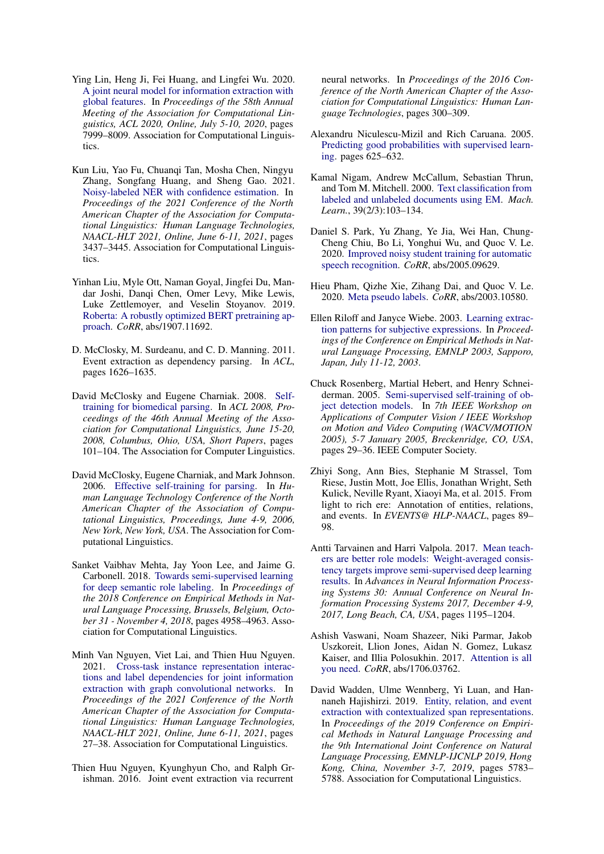- <span id="page-10-1"></span>Ying Lin, Heng Ji, Fei Huang, and Lingfei Wu. 2020. [A joint neural model for information extraction with](https://doi.org/10.18653/v1/2020.acl-main.713) [global features.](https://doi.org/10.18653/v1/2020.acl-main.713) In *Proceedings of the 58th Annual Meeting of the Association for Computational Linguistics, ACL 2020, Online, July 5-10, 2020*, pages 7999–8009. Association for Computational Linguistics.
- <span id="page-10-0"></span>Kun Liu, Yao Fu, Chuanqi Tan, Mosha Chen, Ningyu Zhang, Songfang Huang, and Sheng Gao. 2021. [Noisy-labeled NER with confidence estimation.](https://doi.org/10.18653/v1/2021.naacl-main.269) In *Proceedings of the 2021 Conference of the North American Chapter of the Association for Computational Linguistics: Human Language Technologies, NAACL-HLT 2021, Online, June 6-11, 2021*, pages 3437–3445. Association for Computational Linguistics.
- <span id="page-10-2"></span>Yinhan Liu, Myle Ott, Naman Goyal, Jingfei Du, Mandar Joshi, Danqi Chen, Omer Levy, Mike Lewis, Luke Zettlemoyer, and Veselin Stoyanov. 2019. [Roberta: A robustly optimized BERT pretraining ap](http://arxiv.org/abs/1907.11692)[proach.](http://arxiv.org/abs/1907.11692) *CoRR*, abs/1907.11692.
- <span id="page-10-12"></span>D. McClosky, M. Surdeanu, and C. D. Manning. 2011. Event extraction as dependency parsing. In *ACL*, pages 1626–1635.
- <span id="page-10-17"></span>David McClosky and Eugene Charniak. 2008. [Self](https://aclanthology.org/P08-2026/)[training for biomedical parsing.](https://aclanthology.org/P08-2026/) In *ACL 2008, Proceedings of the 46th Annual Meeting of the Association for Computational Linguistics, June 15-20, 2008, Columbus, Ohio, USA, Short Papers*, pages 101–104. The Association for Computer Linguistics.
- <span id="page-10-16"></span>David McClosky, Eugene Charniak, and Mark Johnson. 2006. [Effective self-training for parsing.](https://aclanthology.org/N06-1020/) In *Human Language Technology Conference of the North American Chapter of the Association of Computational Linguistics, Proceedings, June 4-9, 2006, New York, New York, USA*. The Association for Computational Linguistics.
- <span id="page-10-18"></span>Sanket Vaibhav Mehta, Jay Yoon Lee, and Jaime G. Carbonell. 2018. [Towards semi-supervised learning](https://www.aclweb.org/anthology/D18-1538/) [for deep semantic role labeling.](https://www.aclweb.org/anthology/D18-1538/) In *Proceedings of the 2018 Conference on Empirical Methods in Natural Language Processing, Brussels, Belgium, October 31 - November 4, 2018*, pages 4958–4963. Association for Computational Linguistics.
- <span id="page-10-13"></span>Minh Van Nguyen, Viet Lai, and Thien Huu Nguyen. 2021. [Cross-task instance representation interac](https://doi.org/10.18653/v1/2021.naacl-main.3)[tions and label dependencies for joint information](https://doi.org/10.18653/v1/2021.naacl-main.3) [extraction with graph convolutional networks.](https://doi.org/10.18653/v1/2021.naacl-main.3) In *Proceedings of the 2021 Conference of the North American Chapter of the Association for Computational Linguistics: Human Language Technologies, NAACL-HLT 2021, Online, June 6-11, 2021*, pages 27–38. Association for Computational Linguistics.
- <span id="page-10-6"></span>Thien Huu Nguyen, Kyunghyun Cho, and Ralph Grishman. 2016. Joint event extraction via recurrent

neural networks. In *Proceedings of the 2016 Conference of the North American Chapter of the Association for Computational Linguistics: Human Language Technologies*, pages 300–309.

- <span id="page-10-11"></span>Alexandru Niculescu-Mizil and Rich Caruana. 2005. [Predicting good probabilities with supervised learn](https://doi.org/10.1145/1102351.1102430)[ing.](https://doi.org/10.1145/1102351.1102430) pages 625–632.
- <span id="page-10-3"></span>Kamal Nigam, Andrew McCallum, Sebastian Thrun, and Tom M. Mitchell. 2000. [Text classification from](https://doi.org/10.1023/A:1007692713085) [labeled and unlabeled documents using EM.](https://doi.org/10.1023/A:1007692713085) *Mach. Learn.*, 39(2/3):103–134.
- <span id="page-10-15"></span>Daniel S. Park, Yu Zhang, Ye Jia, Wei Han, Chung-Cheng Chiu, Bo Li, Yonghui Wu, and Quoc V. Le. 2020. [Improved noisy student training for automatic](http://arxiv.org/abs/2005.09629) [speech recognition.](http://arxiv.org/abs/2005.09629) *CoRR*, abs/2005.09629.
- <span id="page-10-10"></span>Hieu Pham, Qizhe Xie, Zihang Dai, and Quoc V. Le. 2020. [Meta pseudo labels.](http://arxiv.org/abs/2003.10580) *CoRR*, abs/2003.10580.
- <span id="page-10-14"></span>Ellen Riloff and Janyce Wiebe. 2003. [Learning extrac](https://aclanthology.org/W03-1014/)[tion patterns for subjective expressions.](https://aclanthology.org/W03-1014/) In *Proceedings of the Conference on Empirical Methods in Natural Language Processing, EMNLP 2003, Sapporo, Japan, July 11-12, 2003*.
- <span id="page-10-4"></span>Chuck Rosenberg, Martial Hebert, and Henry Schneiderman. 2005. [Semi-supervised self-training of ob](https://doi.org/10.1109/ACVMOT.2005.107)[ject detection models.](https://doi.org/10.1109/ACVMOT.2005.107) In *7th IEEE Workshop on Applications of Computer Vision / IEEE Workshop on Motion and Video Computing (WACV/MOTION 2005), 5-7 January 2005, Breckenridge, CO, USA*, pages 29–36. IEEE Computer Society.
- <span id="page-10-8"></span>Zhiyi Song, Ann Bies, Stephanie M Strassel, Tom Riese, Justin Mott, Joe Ellis, Jonathan Wright, Seth Kulick, Neville Ryant, Xiaoyi Ma, et al. 2015. From light to rich ere: Annotation of entities, relations, and events. In *EVENTS@ HLP-NAACL*, pages 89– 98.
- <span id="page-10-9"></span>Antti Tarvainen and Harri Valpola. 2017. [Mean teach](https://proceedings.neurips.cc/paper/2017/hash/68053af2923e00204c3ca7c6a3150cf7-Abstract.html)[ers are better role models: Weight-averaged consis](https://proceedings.neurips.cc/paper/2017/hash/68053af2923e00204c3ca7c6a3150cf7-Abstract.html)[tency targets improve semi-supervised deep learning](https://proceedings.neurips.cc/paper/2017/hash/68053af2923e00204c3ca7c6a3150cf7-Abstract.html) [results.](https://proceedings.neurips.cc/paper/2017/hash/68053af2923e00204c3ca7c6a3150cf7-Abstract.html) In *Advances in Neural Information Processing Systems 30: Annual Conference on Neural Information Processing Systems 2017, December 4-9, 2017, Long Beach, CA, USA*, pages 1195–1204.
- <span id="page-10-5"></span>Ashish Vaswani, Noam Shazeer, Niki Parmar, Jakob Uszkoreit, Llion Jones, Aidan N. Gomez, Lukasz Kaiser, and Illia Polosukhin. 2017. [Attention is all](http://arxiv.org/abs/1706.03762) [you need.](http://arxiv.org/abs/1706.03762) *CoRR*, abs/1706.03762.
- <span id="page-10-7"></span>David Wadden, Ulme Wennberg, Yi Luan, and Hannaneh Hajishirzi. 2019. [Entity, relation, and event](https://doi.org/10.18653/v1/D19-1585) [extraction with contextualized span representations.](https://doi.org/10.18653/v1/D19-1585) In *Proceedings of the 2019 Conference on Empirical Methods in Natural Language Processing and the 9th International Joint Conference on Natural Language Processing, EMNLP-IJCNLP 2019, Hong Kong, China, November 3-7, 2019*, pages 5783– 5788. Association for Computational Linguistics.